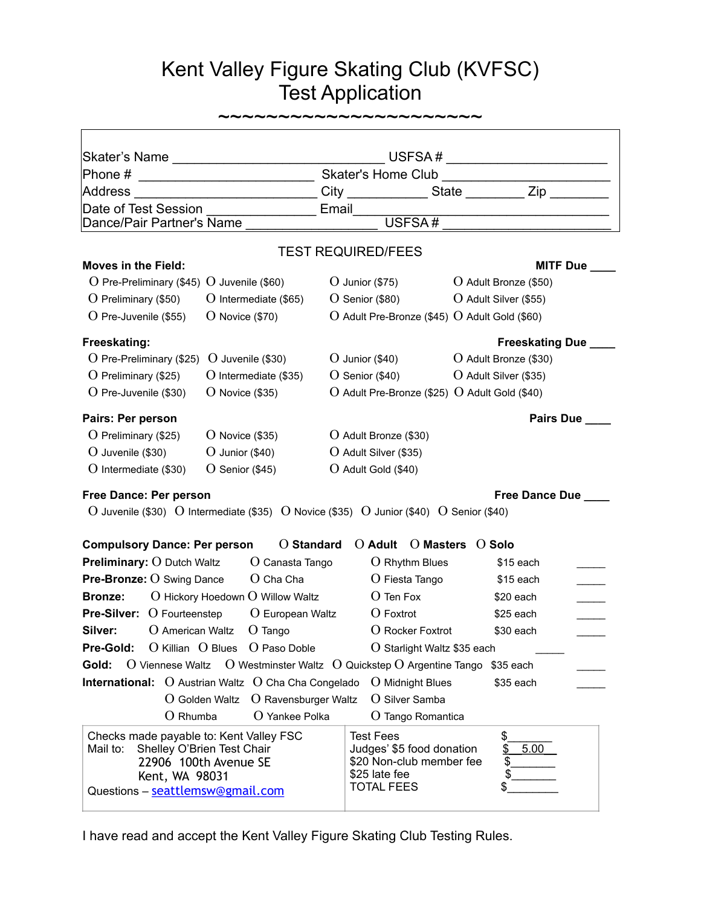## Kent Valley Figure Skating Club (KVFSC) Test Application

|                                                                                                                                                                  |                                                                                              |                   |                                                                                                                 | $\begin{picture}(180,10) \put(0,0){\vector(1,0){100}} \put(15,0){\vector(1,0){100}} \put(15,0){\vector(1,0){100}} \put(15,0){\vector(1,0){100}} \put(15,0){\vector(1,0){100}} \put(15,0){\vector(1,0){100}} \put(15,0){\vector(1,0){100}} \put(15,0){\vector(1,0){100}} \put(15,0){\vector(1,0){100}} \put(15,0){\vector(1,0){100}} \put(15,0){\vector(1,0){100}}$ |                        |  |
|------------------------------------------------------------------------------------------------------------------------------------------------------------------|----------------------------------------------------------------------------------------------|-------------------|-----------------------------------------------------------------------------------------------------------------|--------------------------------------------------------------------------------------------------------------------------------------------------------------------------------------------------------------------------------------------------------------------------------------------------------------------------------------------------------------------|------------------------|--|
|                                                                                                                                                                  |                                                                                              |                   |                                                                                                                 |                                                                                                                                                                                                                                                                                                                                                                    |                        |  |
| Address                                                                                                                                                          | __________________________City ______________State ___________ Zip _____                     |                   |                                                                                                                 |                                                                                                                                                                                                                                                                                                                                                                    |                        |  |
| Date of Test Session                                                                                                                                             | <b>Email</b>                                                                                 |                   |                                                                                                                 |                                                                                                                                                                                                                                                                                                                                                                    |                        |  |
| Dance/Pair Partner's Name                                                                                                                                        |                                                                                              |                   | USFSA#                                                                                                          |                                                                                                                                                                                                                                                                                                                                                                    |                        |  |
|                                                                                                                                                                  |                                                                                              |                   | <b>TEST REQUIRED/FEES</b>                                                                                       |                                                                                                                                                                                                                                                                                                                                                                    |                        |  |
| <b>Moves in the Field:</b>                                                                                                                                       |                                                                                              |                   |                                                                                                                 |                                                                                                                                                                                                                                                                                                                                                                    | MITF Due               |  |
| O Pre-Preliminary (\$45) O Juvenile (\$60)                                                                                                                       |                                                                                              |                   | $O$ Junior (\$75)                                                                                               |                                                                                                                                                                                                                                                                                                                                                                    | O Adult Bronze (\$50)  |  |
| $O$ Preliminary (\$50)                                                                                                                                           | O Intermediate (\$65)                                                                        |                   | $O$ Senior (\$80)                                                                                               |                                                                                                                                                                                                                                                                                                                                                                    | O Adult Silver (\$55)  |  |
| $O$ Pre-Juvenile (\$55)                                                                                                                                          | $O$ Novice (\$70)                                                                            |                   | $O$ Adult Pre-Bronze (\$45) $O$ Adult Gold (\$60)                                                               |                                                                                                                                                                                                                                                                                                                                                                    |                        |  |
| Freeskating:                                                                                                                                                     |                                                                                              |                   |                                                                                                                 |                                                                                                                                                                                                                                                                                                                                                                    | <b>Freeskating Due</b> |  |
| $O$ Pre-Preliminary (\$25)                                                                                                                                       | $O$ Juvenile (\$30)                                                                          | $O$ Junior (\$40) |                                                                                                                 | O Adult Bronze (\$30)                                                                                                                                                                                                                                                                                                                                              |                        |  |
| $O$ Preliminary (\$25)<br>O Intermediate (\$35)                                                                                                                  |                                                                                              | $O$ Senior (\$40) |                                                                                                                 | O Adult Silver (\$35)                                                                                                                                                                                                                                                                                                                                              |                        |  |
| O Pre-Juvenile (\$30)                                                                                                                                            | $O$ Novice (\$35)                                                                            |                   | $O$ Adult Pre-Bronze (\$25) $O$ Adult Gold (\$40)                                                               |                                                                                                                                                                                                                                                                                                                                                                    |                        |  |
| Pairs: Per person                                                                                                                                                |                                                                                              |                   |                                                                                                                 |                                                                                                                                                                                                                                                                                                                                                                    | <b>Pairs Due</b>       |  |
| $O$ Preliminary (\$25)<br>$O$ Novice (\$35)                                                                                                                      |                                                                                              |                   | O Adult Bronze (\$30)                                                                                           |                                                                                                                                                                                                                                                                                                                                                                    |                        |  |
| O Juvenile (\$30)<br>$O$ Junior (\$40)                                                                                                                           |                                                                                              |                   | O Adult Silver (\$35)                                                                                           |                                                                                                                                                                                                                                                                                                                                                                    |                        |  |
| $O$ Intermediate (\$30)<br>$O$ Senior (\$45)                                                                                                                     |                                                                                              |                   | O Adult Gold (\$40)                                                                                             |                                                                                                                                                                                                                                                                                                                                                                    |                        |  |
| Free Dance: Per person                                                                                                                                           |                                                                                              |                   |                                                                                                                 |                                                                                                                                                                                                                                                                                                                                                                    | Free Dance Due         |  |
| O Juvenile (\$30) O Intermediate (\$35) O Novice (\$35) O Junior (\$40) O Senior (\$40)                                                                          |                                                                                              |                   |                                                                                                                 |                                                                                                                                                                                                                                                                                                                                                                    |                        |  |
|                                                                                                                                                                  |                                                                                              |                   |                                                                                                                 |                                                                                                                                                                                                                                                                                                                                                                    |                        |  |
| <b>Compulsory Dance: Per person</b>                                                                                                                              | <b>O</b> Standard                                                                            |                   | $O$ Adult                                                                                                       | O Masters O Solo                                                                                                                                                                                                                                                                                                                                                   |                        |  |
| <b>Preliminary: O Dutch Waltz</b><br>$O$ Canasta Tango                                                                                                           |                                                                                              |                   | $O$ Rhythm Blues                                                                                                |                                                                                                                                                                                                                                                                                                                                                                    | \$15 each              |  |
| <b>Pre-Bronze: O Swing Dance</b>                                                                                                                                 |                                                                                              | O Fiesta Tango    |                                                                                                                 | \$15 each                                                                                                                                                                                                                                                                                                                                                          |                        |  |
| O Hickory Hoedown O Willow Waltz<br><b>Bronze:</b>                                                                                                               |                                                                                              | $O$ Ten Fox       |                                                                                                                 | \$20 each                                                                                                                                                                                                                                                                                                                                                          |                        |  |
| <b>Pre-Silver:</b> $O$ Fourteenstep<br>$O$ European Waltz                                                                                                        |                                                                                              |                   | $O$ Foxtrot                                                                                                     |                                                                                                                                                                                                                                                                                                                                                                    | \$25 each              |  |
| Silver:<br>$O$ American Waltz<br>$O$ Tango                                                                                                                       |                                                                                              |                   | O Rocker Foxtrot                                                                                                |                                                                                                                                                                                                                                                                                                                                                                    | \$30 each              |  |
| Pre-Gold:                                                                                                                                                        | O Killian O Blues O Paso Doble                                                               |                   | O Starlight Waltz \$35 each                                                                                     |                                                                                                                                                                                                                                                                                                                                                                    |                        |  |
| Gold:                                                                                                                                                            | O Viennese Waltz $\quad$ O Westminster Waltz $\quad$ Q Quickstep O Argentine Tango \$35 each |                   |                                                                                                                 |                                                                                                                                                                                                                                                                                                                                                                    |                        |  |
| International: O Austrian Waltz O Cha Cha Congelado O Midnight Blues                                                                                             |                                                                                              |                   |                                                                                                                 |                                                                                                                                                                                                                                                                                                                                                                    | \$35 each              |  |
| O Ravensburger Waltz<br>O Golden Waltz                                                                                                                           |                                                                                              |                   | O Silver Samba                                                                                                  |                                                                                                                                                                                                                                                                                                                                                                    |                        |  |
| $O$ Rhumba                                                                                                                                                       | $O$ Yankee Polka                                                                             |                   | O Tango Romantica                                                                                               |                                                                                                                                                                                                                                                                                                                                                                    |                        |  |
| Checks made payable to: Kent Valley FSC<br>Shelley O'Brien Test Chair<br>Mail to:<br>22906 100th Avenue SE<br>Kent, WA 98031<br>Questions - seattlemsw@gmail.com |                                                                                              |                   | <b>Test Fees</b><br>Judges' \$5 food donation<br>\$20 Non-club member fee<br>\$25 late fee<br><b>TOTAL FEES</b> | \$.<br>\$<br>\$<br>\$<br>\$                                                                                                                                                                                                                                                                                                                                        | 5.00                   |  |

I have read and accept the Kent Valley Figure Skating Club Testing Rules.